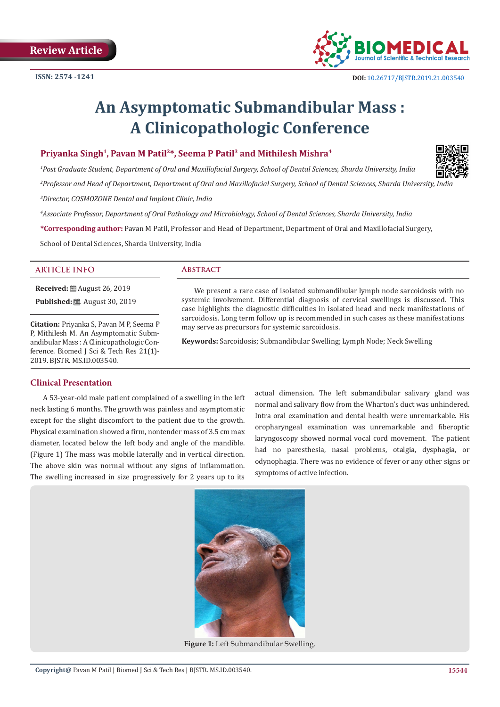

# **An Asymptomatic Submandibular Mass : A Clinicopathologic Conference**

## **Priyanka Singh1, Pavan M Patil2\*, Seema P Patil3 and Mithilesh Mishra4**

*1 Post Graduate Student, Department of Oral and Maxillofacial Surgery, School of Dental Sciences, Sharda University, India*

*2 Professor and Head of Department, Department of Oral and Maxillofacial Surgery, School of Dental Sciences, Sharda University, India*

*3 Director, COSMOZONE Dental and Implant Clinic, India*

*4 Associate Professor, Department of Oral Pathology and Microbiology, School of Dental Sciences, Sharda University, India*

**\*Corresponding author:** Pavan M Patil, Professor and Head of Department, Department of Oral and Maxillofacial Surgery,

School of Dental Sciences, Sharda University, India

### **ARTICLE INFO Abstract**

**Received:** ■ August 26, 2019

**Published:** ■ August 30, 2019

**Citation:** Priyanka S, Pavan M P, Seema P P, Mithilesh M. An Asymptomatic Submandibular Mass : A Clinicopathologic Conference. Biomed J Sci & Tech Res 21(1)-2019. BJSTR. MS.ID.003540.

We present a rare case of isolated submandibular lymph node sarcoidosis with no systemic involvement. Differential diagnosis of cervical swellings is discussed. This case highlights the diagnostic difficulties in isolated head and neck manifestations of sarcoidosis. Long term follow up is recommended in such cases as these manifestations may serve as precursors for systemic sarcoidosis.

**Keywords:** Sarcoidosis; Submandibular Swelling; Lymph Node; Neck Swelling

### **Clinical Presentation**

A 53-year-old male patient complained of a swelling in the left neck lasting 6 months. The growth was painless and asymptomatic except for the slight discomfort to the patient due to the growth. Physical examination showed a firm, nontender mass of 3.5 cm max diameter, located below the left body and angle of the mandible. (Figure 1) The mass was mobile laterally and in vertical direction. The above skin was normal without any signs of inflammation. The swelling increased in size progressively for 2 years up to its actual dimension. The left submandibular salivary gland was normal and salivary flow from the Wharton's duct was unhindered. Intra oral examination and dental health were unremarkable. His oropharyngeal examination was unremarkable and fiberoptic laryngoscopy showed normal vocal cord movement. The patient had no paresthesia, nasal problems, otalgia, dysphagia, or odynophagia. There was no evidence of fever or any other signs or symptoms of active infection.



**Figure 1:** Left Submandibular Swelling.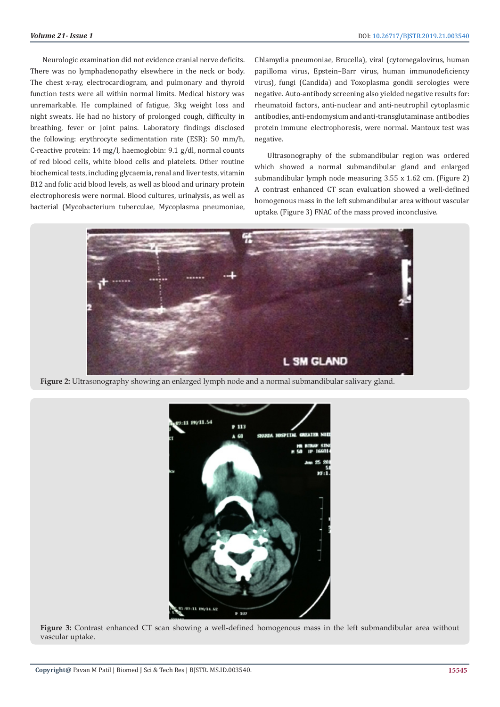Neurologic examination did not evidence cranial nerve deficits. There was no lymphadenopathy elsewhere in the neck or body. The chest x-ray, electrocardiogram, and pulmonary and thyroid function tests were all within normal limits. Medical history was unremarkable. He complained of fatigue, 3kg weight loss and night sweats. He had no history of prolonged cough, difficulty in breathing, fever or joint pains. Laboratory findings disclosed the following: erythrocyte sedimentation rate (ESR): 50 mm/h, C-reactive protein: 14 mg/l, haemoglobin: 9.1 g/dl, normal counts of red blood cells, white blood cells and platelets. Other routine biochemical tests, including glycaemia, renal and liver tests, vitamin B12 and folic acid blood levels, as well as blood and urinary protein electrophoresis were normal. Blood cultures, urinalysis, as well as bacterial (Mycobacterium tuberculae, Mycoplasma pneumoniae,

Chlamydia pneumoniae, Brucella), viral (cytomegalovirus, human papilloma virus, Epstein–Barr virus, human immunodeficiency virus), fungi (Candida) and Toxoplasma gondii serologies were negative. Auto-antibody screening also yielded negative results for: rheumatoid factors, anti-nuclear and anti-neutrophil cytoplasmic antibodies, anti-endomysium and anti-transglutaminase antibodies protein immune electrophoresis, were normal. Mantoux test was negative.

Ultrasonography of the submandibular region was ordered which showed a normal submandibular gland and enlarged submandibular lymph node measuring 3.55 x 1.62 cm. (Figure 2) A contrast enhanced CT scan evaluation showed a well-defined homogenous mass in the left submandibular area without vascular uptake. (Figure 3) FNAC of the mass proved inconclusive.



**Figure 2:** Ultrasonography showing an enlarged lymph node and a normal submandibular salivary gland.



**Figure 3:** Contrast enhanced CT scan showing a well-defined homogenous mass in the left submandibular area without vascular uptake.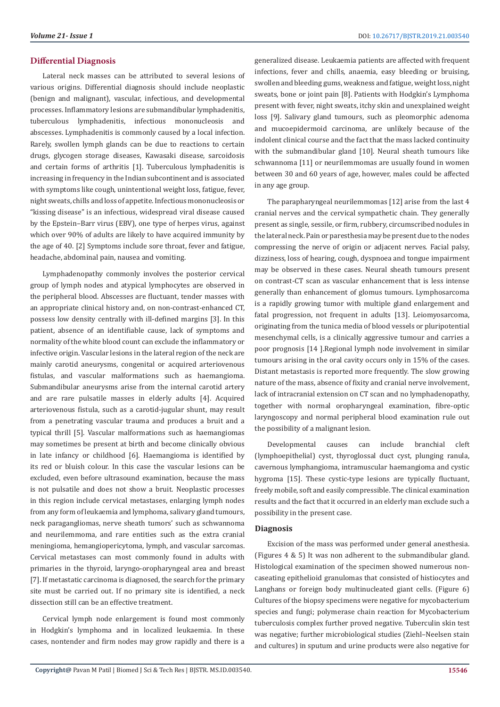#### **Differential Diagnosis**

Lateral neck masses can be attributed to several lesions of various origins. Differential diagnosis should include neoplastic (benign and malignant), vascular, infectious, and developmental processes. Inflammatory lesions are submandibular lymphadenitis, tuberculous lymphadenitis, infectious mononucleosis and abscesses. Lymphadenitis is commonly caused by a local infection. Rarely, swollen lymph glands can be due to reactions to certain drugs, glycogen storage diseases, Kawasaki disease, sarcoidosis and certain forms of arthritis [1]. Tuberculous lymphadenitis is increasing in frequency in the Indian subcontinent and is associated with symptoms like cough, unintentional weight loss, fatigue, fever, night sweats, chills and loss of appetite. Infectious mononucleosis or "kissing disease" is an infectious, widespread viral disease caused by the Epstein–Barr virus (EBV), one type of herpes virus, against which over 90% of adults are likely to have acquired immunity by the age of 40. [2] Symptoms include sore throat, fever and fatigue, headache, abdominal pain, nausea and vomiting.

Lymphadenopathy commonly involves the posterior cervical group of lymph nodes and atypical lymphocytes are observed in the peripheral blood. Abscesses are fluctuant, tender masses with an appropriate clinical history and, on non-contrast-enhanced CT, possess low density centrally with ill-defined margins [3]. In this patient, absence of an identifiable cause, lack of symptoms and normality of the white blood count can exclude the inflammatory or infective origin. Vascular lesions in the lateral region of the neck are mainly carotid aneurysms, congenital or acquired arteriovenous fistulas, and vascular malformations such as haemangioma. Submandibular aneurysms arise from the internal carotid artery and are rare pulsatile masses in elderly adults [4]. Acquired arteriovenous fistula, such as a carotid-jugular shunt, may result from a penetrating vascular trauma and produces a bruit and a typical thrill [5]. Vascular malformations such as haemangiomas may sometimes be present at birth and become clinically obvious in late infancy or childhood [6]. Haemangioma is identified by its red or bluish colour. In this case the vascular lesions can be excluded, even before ultrasound examination, because the mass is not pulsatile and does not show a bruit. Neoplastic processes in this region include cervical metastases, enlarging lymph nodes from any form of leukaemia and lymphoma, salivary gland tumours, neck paragangliomas, nerve sheath tumors' such as schwannoma and neurilemmoma, and rare entities such as the extra cranial meningioma, hemangiopericytoma, lymph, and vascular sarcomas. Cervical metastases can most commonly found in adults with primaries in the thyroid, laryngo-oropharyngeal area and breast [7]. If metastatic carcinoma is diagnosed, the search for the primary site must be carried out. If no primary site is identified, a neck dissection still can be an effective treatment.

Cervical lymph node enlargement is found most commonly in Hodgkin's lymphoma and in localized leukaemia. In these cases, nontender and firm nodes may grow rapidly and there is a

generalized disease. Leukaemia patients are affected with frequent infections, fever and chills, anaemia, easy bleeding or bruising, swollen and bleeding gums, weakness and fatigue, weight loss, night sweats, bone or joint pain [8]. Patients with Hodgkin's Lymphoma present with fever, night sweats, itchy skin and unexplained weight loss [9]. Salivary gland tumours, such as pleomorphic adenoma and mucoepidermoid carcinoma, are unlikely because of the indolent clinical course and the fact that the mass lacked continuity with the submandibular gland [10]. Neural sheath tumours like schwannoma [11] or neurilemmomas are usually found in women between 30 and 60 years of age, however, males could be affected in any age group.

The parapharyngeal neurilemmomas [12] arise from the last 4 cranial nerves and the cervical sympathetic chain. They generally present as single, sessile, or firm, rubbery, circumscribed nodules in the lateral neck. Pain or paresthesia may be present due to the nodes compressing the nerve of origin or adjacent nerves. Facial palsy, dizziness, loss of hearing, cough, dyspnoea and tongue impairment may be observed in these cases. Neural sheath tumours present on contrast-CT scan as vascular enhancement that is less intense generally than enhancement of glomus tumours. Lymphosarcoma is a rapidly growing tumor with multiple gland enlargement and fatal progression, not frequent in adults [13]. Leiomyosarcoma, originating from the tunica media of blood vessels or pluripotential mesenchymal cells, is a clinically aggressive tumour and carries a poor prognosis [14 ].Regional lymph node involvement in similar tumours arising in the oral cavity occurs only in 15% of the cases. Distant metastasis is reported more frequently. The slow growing nature of the mass, absence of fixity and cranial nerve involvement, lack of intracranial extension on CT scan and no lymphadenopathy, together with normal oropharyngeal examination, fibre-optic laryngoscopy and normal peripheral blood examination rule out the possibility of a malignant lesion.

Developmental causes can include branchial cleft (lymphoepithelial) cyst, thyroglossal duct cyst, plunging ranula, cavernous lymphangioma, intramuscular haemangioma and cystic hygroma [15]. These cystic-type lesions are typically fluctuant, freely mobile, soft and easily compressible. The clinical examination results and the fact that it occurred in an elderly man exclude such a possibility in the present case.

#### **Diagnosis**

Excision of the mass was performed under general anesthesia. (Figures 4 & 5) It was non adherent to the submandibular gland. Histological examination of the specimen showed numerous noncaseating epithelioid granulomas that consisted of histiocytes and Langhans or foreign body multinucleated giant cells. (Figure 6) Cultures of the biopsy specimens were negative for mycobacterium species and fungi; polymerase chain reaction for Mycobacterium tuberculosis complex further proved negative. Tuberculin skin test was negative; further microbiological studies (Ziehl–Neelsen stain and cultures) in sputum and urine products were also negative for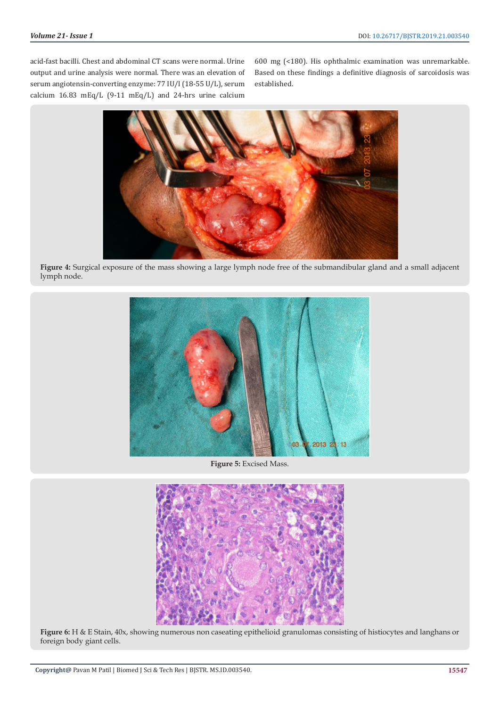acid-fast bacilli. Chest and abdominal CT scans were normal. Urine output and urine analysis were normal. There was an elevation of serum angiotensin-converting enzyme: 77 IU/l (18-55 U/L), serum calcium 16.83 mEq/L (9-11 mEq/L) and 24-hrs urine calcium

600 mg (<180). His ophthalmic examination was unremarkable. Based on these findings a definitive diagnosis of sarcoidosis was established.

![](_page_3_Picture_4.jpeg)

**Figure 4:** Surgical exposure of the mass showing a large lymph node free of the submandibular gland and a small adjacent lymph node.

![](_page_3_Picture_6.jpeg)

**Figure 5:** Excised Mass.

![](_page_3_Picture_8.jpeg)

**Figure 6:** H & E Stain, 40x, showing numerous non caseating epithelioid granulomas consisting of histiocytes and langhans or foreign body giant cells.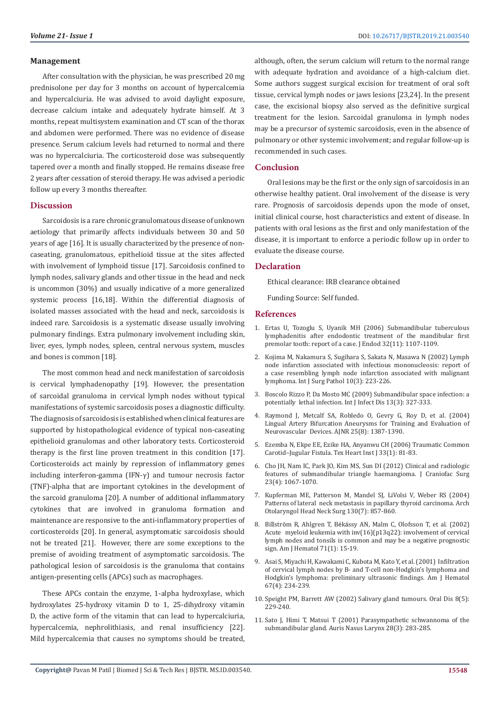#### **Management**

After consultation with the physician, he was prescribed 20 mg prednisolone per day for 3 months on account of hypercalcemia and hypercalciuria. He was advised to avoid daylight exposure, decrease calcium intake and adequately hydrate himself. At 3 months, repeat multisystem examination and CT scan of the thorax and abdomen were performed. There was no evidence of disease presence. Serum calcium levels had returned to normal and there was no hypercalciuria. The corticosteroid dose was subsequently tapered over a month and finally stopped. He remains disease free 2 years after cessation of steroid therapy. He was advised a periodic follow up every 3 months thereafter.

#### **Discussion**

Sarcoidosis is a rare chronic granulomatous disease of unknown aetiology that primarily affects individuals between 30 and 50 years of age [16]. It is usually characterized by the presence of noncaseating, granulomatous, epithelioid tissue at the sites affected with involvement of lymphoid tissue [17]. Sarcoidosis confined to lymph nodes, salivary glands and other tissue in the head and neck is uncommon (30%) and usually indicative of a more generalized systemic process [16,18]. Within the differential diagnosis of isolated masses associated with the head and neck, sarcoidosis is indeed rare. Sarcoidosis is a systematic disease usually involving pulmonary findings. Extra pulmonary involvement including skin, liver, eyes, lymph nodes, spleen, central nervous system, muscles and bones is common [18].

The most common head and neck manifestation of sarcoidosis is cervical lymphadenopathy [19]. However, the presentation of sarcoidal granuloma in cervical lymph nodes without typical manifestations of systemic sarcoidosis poses a diagnostic difficulty. The diagnosis of sarcoidosis is established when clinical features are supported by histopathological evidence of typical non-caseating epithelioid granulomas and other laboratory tests. Corticosteroid therapy is the first line proven treatment in this condition [17]. Corticosteroids act mainly by repression of inflammatory genes including interferon-gamma (IFN-γ) and tumour necrosis factor (TNF)-alpha that are important cytokines in the development of the sarcoid granuloma [20]. A number of additional inflammatory cytokines that are involved in granuloma formation and maintenance are responsive to the anti-inflammatory properties of corticosteroids [20]. In general, asymptomatic sarcoidosis should not be treated [21]. However, there are some exceptions to the premise of avoiding treatment of asymptomatic sarcoidosis. The pathological lesion of sarcoidosis is the granuloma that contains antigen-presenting cells (APCs) such as macrophages.

These APCs contain the enzyme, 1-alpha hydroxylase, which hydroxylates 25-hydroxy vitamin D to 1, 25-dihydroxy vitamin D, the active form of the vitamin that can lead to hypercalciuria, hypercalcemia, nephrolithiasis, and renal insufficiency [22]. Mild hypercalcemia that causes no symptoms should be treated, although, often, the serum calcium will return to the normal range with adequate hydration and avoidance of a high-calcium diet. Some authors suggest surgical excision for treatment of oral soft tissue, cervical lymph nodes or jaws lesions [23,24]. In the present case, the excisional biopsy also served as the definitive surgical treatment for the lesion. Sarcoidal granuloma in lymph nodes may be a precursor of systemic sarcoidosis, even in the absence of pulmonary or other systemic involvement; and regular follow-up is recommended in such cases.

#### **Conclusion**

Oral lesions may be the first or the only sign of sarcoidosis in an otherwise healthy patient. Oral involvement of the disease is very rare. Prognosis of sarcoidosis depends upon the mode of onset, initial clinical course, host characteristics and extent of disease. In patients with oral lesions as the first and only manifestation of the disease, it is important to enforce a periodic follow up in order to evaluate the disease course.

#### **Declaration**

Ethical clearance: IRB clearance obtained

Funding Source: Self funded.

#### **References**

- 1. [Ertas U, Tozoglu S, Uyanik MH \(2006\) Submandibular tuberculous](https://www.ncbi.nlm.nih.gov/pubmed/17055918) [lymphadenitis after endodontic treatment of the mandibular first](https://www.ncbi.nlm.nih.gov/pubmed/17055918) [premolar tooth: report of a case. J Endod 32\(11\): 1107-1109.](https://www.ncbi.nlm.nih.gov/pubmed/17055918)
- 2. [Kojima M, Nakamura S, Sugihara S, Sakata N, Masawa N \(2002\) Lymph](https://www.ncbi.nlm.nih.gov/pubmed/12232580) [node infarction associated with infectious mononucleosis: report of](https://www.ncbi.nlm.nih.gov/pubmed/12232580) [a case resembling lymph node infarction associated with malignant](https://www.ncbi.nlm.nih.gov/pubmed/12232580) [lymphoma. Int J Surg Pathol 10\(3\): 223-226.](https://www.ncbi.nlm.nih.gov/pubmed/12232580)
- 3. [Boscolo Rizzo P, Da Mosto MC \(2009\) Submandibular space infection: a](https://www.ncbi.nlm.nih.gov/pubmed/18952475) [potentially lethal infection. Int J Infect Dis 13\(3\): 327-333.](https://www.ncbi.nlm.nih.gov/pubmed/18952475)
- 4. [Raymond J, Metcalf SA, Robledo O, Gevry G, Roy D, et al. \(2004\)](http://www.ajnr.org/content/25/8/1387) [Lingual Artery Bifurcation Aneurysms for Training and Evaluation of](http://www.ajnr.org/content/25/8/1387) [Neurovascular Devices. AJNR 25\(8\): 1387-1390.](http://www.ajnr.org/content/25/8/1387)
- 5. [Ezemba N, Ekpe EE, Ezike HA, Anyanwu CH \(2006\) Traumatic Common](https://www.ncbi.nlm.nih.gov/pmc/articles/PMC1413591/) [Carotid–Jugular Fistula. Tex Heart Inst J 33\(1\): 81-83.](https://www.ncbi.nlm.nih.gov/pmc/articles/PMC1413591/)
- 6. [Cho JH, Nam IC, Park JO, Kim MS, Sun DI \(2012\) Clinical and radiologic](https://www.ncbi.nlm.nih.gov/pubmed/22777461) [features of submandibular triangle haemangioma. J Craniofac Surg](https://www.ncbi.nlm.nih.gov/pubmed/22777461) [23\(4\): 1067-1070.](https://www.ncbi.nlm.nih.gov/pubmed/22777461)
- 7. [Kupferman ME, Patterson M, Mandel SJ, LiVolsi V, Weber RS \(2004\)](https://www.ncbi.nlm.nih.gov/pubmed/15262763) [Patterns of lateral neck metastasis in papillary thyroid carcinoma. Arch](https://www.ncbi.nlm.nih.gov/pubmed/15262763) [Otolaryngol Head Neck Surg 130\(7\): 857-860.](https://www.ncbi.nlm.nih.gov/pubmed/15262763)
- 8. Billström R, Ahlgren T, Béká[ssy AN, Malm C, Olofsson T, et al. \(2002\)](https://www.ncbi.nlm.nih.gov/pubmed/12221668) [Acute myeloid leukemia with inv\(16\)\(p13q22\): involvement of cervical](https://www.ncbi.nlm.nih.gov/pubmed/12221668) [lymph nodes and tonsils is common and may be a negative prognostic](https://www.ncbi.nlm.nih.gov/pubmed/12221668) [sign. Am J Hematol 71\(1\): 15-19.](https://www.ncbi.nlm.nih.gov/pubmed/12221668)
- 9. [Asai S, Miyachi H, Kawakami C, Kubota M, Kato Y, et al. \(2001\) Infiltration](https://www.ncbi.nlm.nih.gov/pubmed/11443635) [of cervical lymph nodes by B- and T-cell non-Hodgkin's lymphoma and](https://www.ncbi.nlm.nih.gov/pubmed/11443635) [Hodgkin's lymphoma: preliminary ultrasonic findings. Am J Hematol](https://www.ncbi.nlm.nih.gov/pubmed/11443635) [67\(4\): 234-239.](https://www.ncbi.nlm.nih.gov/pubmed/11443635)
- 10. [Speight PM, Barrett AW \(2002\) Salivary gland tumours. Oral Dis 8\(5\):](https://www.ncbi.nlm.nih.gov/pubmed/12363107) [229-240.](https://www.ncbi.nlm.nih.gov/pubmed/12363107)
- 11. [Sato J, Himi T, Matsui T \(2001\) Parasympathetic schwannoma of the](https://www.ncbi.nlm.nih.gov/pubmed/11489378) [submandibular gland. Auris Nasus Larynx 28\(3\): 283-285.](https://www.ncbi.nlm.nih.gov/pubmed/11489378)